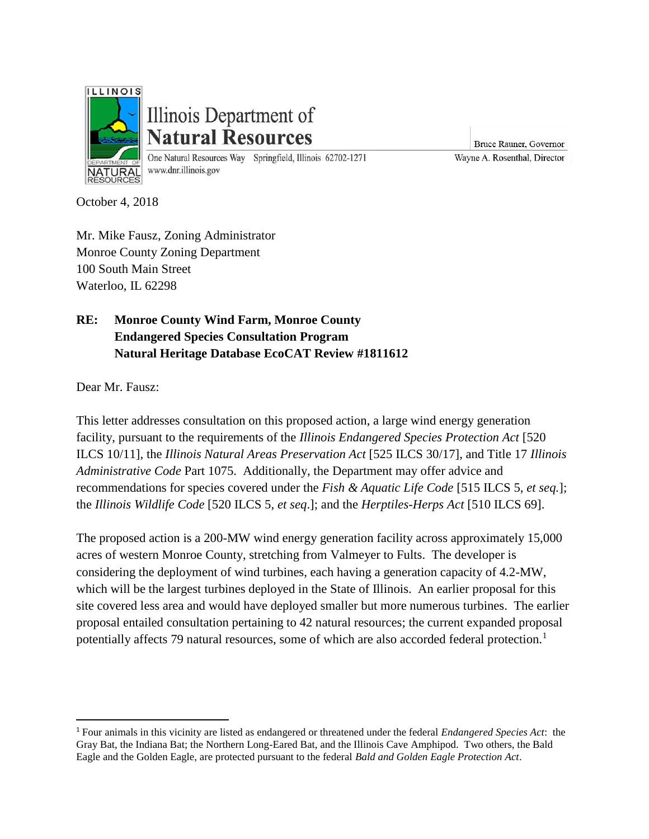

# Illinois Department of **Natural Resources**

One Natural Resources Way Springfield, Illinois 62702-1271 www.dnr.illinois.gov

Bruce Rauner, Governor Wayne A. Rosenthal, Director

October 4, 2018

Mr. Mike Fausz, Zoning Administrator Monroe County Zoning Department 100 South Main Street Waterloo, IL 62298

## **RE: Monroe County Wind Farm, Monroe County Endangered Species Consultation Program Natural Heritage Database EcoCAT Review #1811612**

Dear Mr. Fausz:

 $\overline{\phantom{a}}$ 

This letter addresses consultation on this proposed action, a large wind energy generation facility, pursuant to the requirements of the *Illinois Endangered Species Protection Act* [520 ILCS 10/11], the *Illinois Natural Areas Preservation Act* [525 ILCS 30/17], and Title 17 *Illinois Administrative Code* Part 1075. Additionally, the Department may offer advice and recommendations for species covered under the *Fish & Aquatic Life Code* [515 ILCS 5, *et seq.*]; the *Illinois Wildlife Code* [520 ILCS 5, *et seq*.]; and the *Herptiles-Herps Act* [510 ILCS 69].

The proposed action is a 200-MW wind energy generation facility across approximately 15,000 acres of western Monroe County, stretching from Valmeyer to Fults. The developer is considering the deployment of wind turbines, each having a generation capacity of 4.2-MW, which will be the largest turbines deployed in the State of Illinois. An earlier proposal for this site covered less area and would have deployed smaller but more numerous turbines. The earlier proposal entailed consultation pertaining to 42 natural resources; the current expanded proposal potentially affects 79 natural resources, some of which are also accorded federal protection.<sup>1</sup>

<sup>1</sup> Four animals in this vicinity are listed as endangered or threatened under the federal *Endangered Species Act*: the Gray Bat, the Indiana Bat; the Northern Long-Eared Bat, and the Illinois Cave Amphipod. Two others, the Bald Eagle and the Golden Eagle, are protected pursuant to the federal *Bald and Golden Eagle Protection Act*.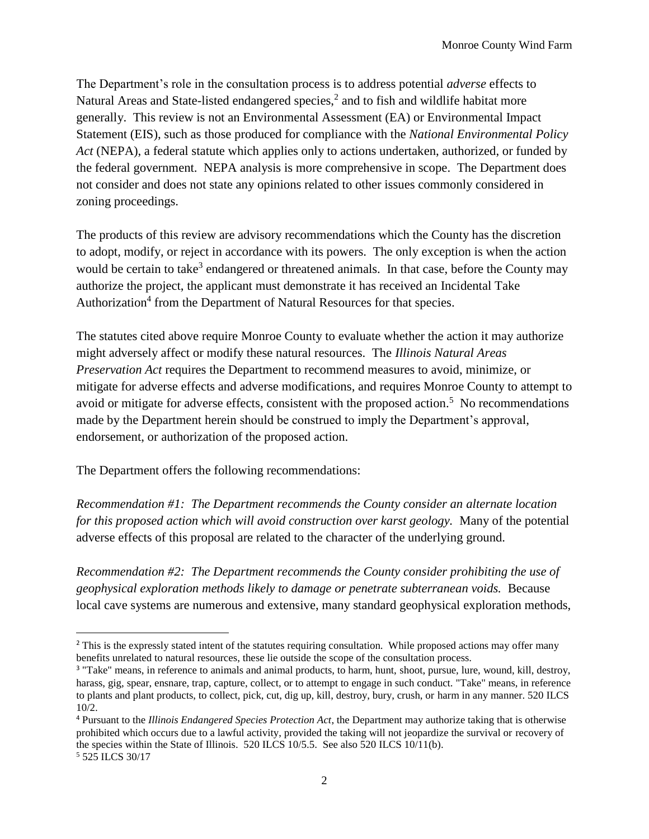The Department's role in the consultation process is to address potential *adverse* effects to Natural Areas and State-listed endangered species, $<sup>2</sup>$  and to fish and wildlife habitat more</sup> generally. This review is not an Environmental Assessment (EA) or Environmental Impact Statement (EIS), such as those produced for compliance with the *National Environmental Policy Act* (NEPA), a federal statute which applies only to actions undertaken, authorized, or funded by the federal government. NEPA analysis is more comprehensive in scope. The Department does not consider and does not state any opinions related to other issues commonly considered in zoning proceedings.

The products of this review are advisory recommendations which the County has the discretion to adopt, modify, or reject in accordance with its powers. The only exception is when the action would be certain to take<sup>3</sup> endangered or threatened animals. In that case, before the County may authorize the project, the applicant must demonstrate it has received an Incidental Take Authorization<sup>4</sup> from the Department of Natural Resources for that species.

The statutes cited above require Monroe County to evaluate whether the action it may authorize might adversely affect or modify these natural resources. The *Illinois Natural Areas Preservation Act* requires the Department to recommend measures to avoid, minimize, or mitigate for adverse effects and adverse modifications, and requires Monroe County to attempt to avoid or mitigate for adverse effects, consistent with the proposed action.<sup>5</sup> No recommendations made by the Department herein should be construed to imply the Department's approval, endorsement, or authorization of the proposed action.

The Department offers the following recommendations:

*Recommendation #1: The Department recommends the County consider an alternate location for this proposed action which will avoid construction over karst geology.* Many of the potential adverse effects of this proposal are related to the character of the underlying ground.

*Recommendation #2: The Department recommends the County consider prohibiting the use of geophysical exploration methods likely to damage or penetrate subterranean voids.* Because local cave systems are numerous and extensive, many standard geophysical exploration methods,

l

<sup>&</sup>lt;sup>2</sup> This is the expressly stated intent of the statutes requiring consultation. While proposed actions may offer many benefits unrelated to natural resources, these lie outside the scope of the consultation process.

<sup>&</sup>lt;sup>3</sup> "Take" means, in reference to animals and animal products, to harm, hunt, shoot, pursue, lure, wound, kill, destroy, harass, gig, spear, ensnare, trap, capture, collect, or to attempt to engage in such conduct. "Take" means, in reference to plants and plant products, to collect, pick, cut, dig up, kill, destroy, bury, crush, or harm in any manner. 520 ILCS 10/2.

<sup>4</sup> Pursuant to the *Illinois Endangered Species Protection Act*, the Department may authorize taking that is otherwise prohibited which occurs due to a lawful activity, provided the taking will not jeopardize the survival or recovery of the species within the State of Illinois. 520 ILCS 10/5.5. See also 520 ILCS 10/11(b).

<sup>5</sup> 525 ILCS 30/17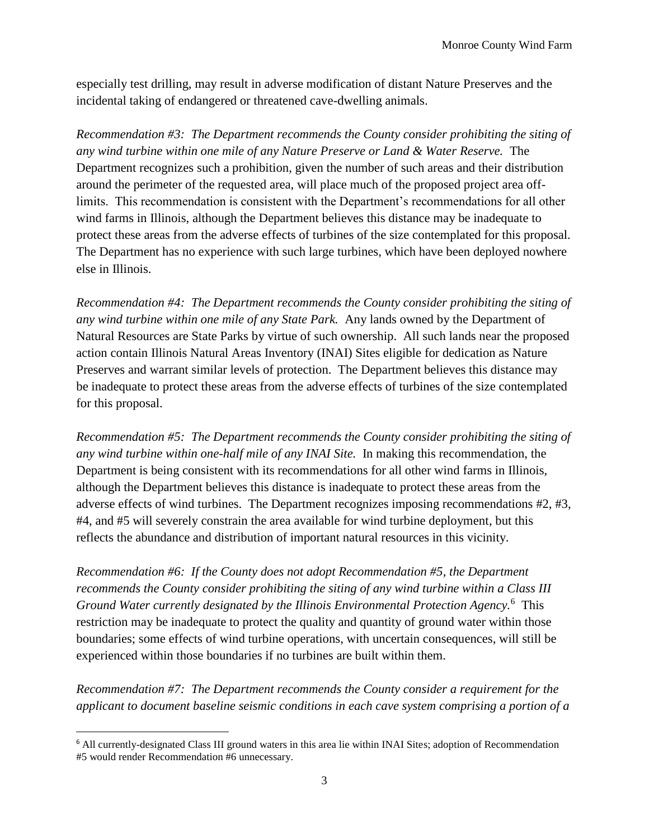especially test drilling, may result in adverse modification of distant Nature Preserves and the incidental taking of endangered or threatened cave-dwelling animals.

*Recommendation #3: The Department recommends the County consider prohibiting the siting of any wind turbine within one mile of any Nature Preserve or Land & Water Reserve.* The Department recognizes such a prohibition, given the number of such areas and their distribution around the perimeter of the requested area, will place much of the proposed project area offlimits. This recommendation is consistent with the Department's recommendations for all other wind farms in Illinois, although the Department believes this distance may be inadequate to protect these areas from the adverse effects of turbines of the size contemplated for this proposal. The Department has no experience with such large turbines, which have been deployed nowhere else in Illinois.

*Recommendation #4: The Department recommends the County consider prohibiting the siting of any wind turbine within one mile of any State Park.* Any lands owned by the Department of Natural Resources are State Parks by virtue of such ownership. All such lands near the proposed action contain Illinois Natural Areas Inventory (INAI) Sites eligible for dedication as Nature Preserves and warrant similar levels of protection. The Department believes this distance may be inadequate to protect these areas from the adverse effects of turbines of the size contemplated for this proposal.

*Recommendation #5: The Department recommends the County consider prohibiting the siting of any wind turbine within one-half mile of any INAI Site.* In making this recommendation, the Department is being consistent with its recommendations for all other wind farms in Illinois, although the Department believes this distance is inadequate to protect these areas from the adverse effects of wind turbines. The Department recognizes imposing recommendations #2, #3, #4, and #5 will severely constrain the area available for wind turbine deployment, but this reflects the abundance and distribution of important natural resources in this vicinity.

*Recommendation #6: If the County does not adopt Recommendation #5, the Department recommends the County consider prohibiting the siting of any wind turbine within a Class III Ground Water currently designated by the Illinois Environmental Protection Agency.*<sup>6</sup> This restriction may be inadequate to protect the quality and quantity of ground water within those boundaries; some effects of wind turbine operations, with uncertain consequences, will still be experienced within those boundaries if no turbines are built within them.

*Recommendation #7: The Department recommends the County consider a requirement for the applicant to document baseline seismic conditions in each cave system comprising a portion of a* 

l

<sup>6</sup> All currently-designated Class III ground waters in this area lie within INAI Sites; adoption of Recommendation #5 would render Recommendation #6 unnecessary.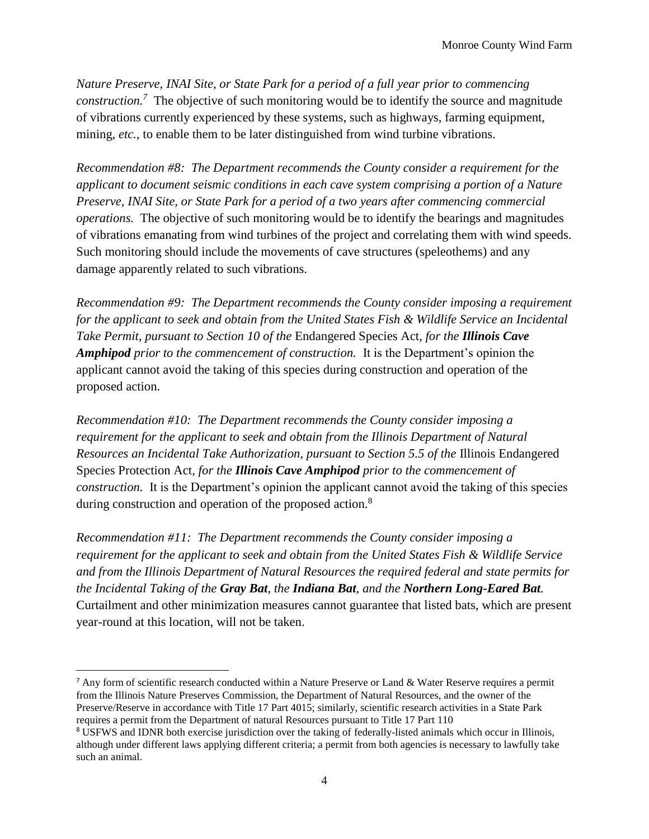*Nature Preserve, INAI Site, or State Park for a period of a full year prior to commencing construction.<sup>7</sup>* The objective of such monitoring would be to identify the source and magnitude of vibrations currently experienced by these systems, such as highways, farming equipment, mining, *etc.*, to enable them to be later distinguished from wind turbine vibrations.

*Recommendation #8: The Department recommends the County consider a requirement for the applicant to document seismic conditions in each cave system comprising a portion of a Nature Preserve, INAI Site, or State Park for a period of a two years after commencing commercial operations.* The objective of such monitoring would be to identify the bearings and magnitudes of vibrations emanating from wind turbines of the project and correlating them with wind speeds. Such monitoring should include the movements of cave structures (speleothems) and any damage apparently related to such vibrations.

*Recommendation #9: The Department recommends the County consider imposing a requirement for the applicant to seek and obtain from the United States Fish & Wildlife Service an Incidental Take Permit, pursuant to Section 10 of the* Endangered Species Act*, for the Illinois Cave Amphipod prior to the commencement of construction.* It is the Department's opinion the applicant cannot avoid the taking of this species during construction and operation of the proposed action.

*Recommendation #10: The Department recommends the County consider imposing a requirement for the applicant to seek and obtain from the Illinois Department of Natural Resources an Incidental Take Authorization, pursuant to Section 5.5 of the* Illinois Endangered Species Protection Act*, for the Illinois Cave Amphipod prior to the commencement of construction.* It is the Department's opinion the applicant cannot avoid the taking of this species during construction and operation of the proposed action.<sup>8</sup>

*Recommendation #11: The Department recommends the County consider imposing a requirement for the applicant to seek and obtain from the United States Fish & Wildlife Service and from the Illinois Department of Natural Resources the required federal and state permits for the Incidental Taking of the Gray Bat, the Indiana Bat, and the Northern Long-Eared Bat.* Curtailment and other minimization measures cannot guarantee that listed bats, which are present year-round at this location, will not be taken.

 $\overline{a}$ 

<sup>&</sup>lt;sup>7</sup> Any form of scientific research conducted within a Nature Preserve or Land & Water Reserve requires a permit from the Illinois Nature Preserves Commission, the Department of Natural Resources, and the owner of the Preserve/Reserve in accordance with Title 17 Part 4015; similarly, scientific research activities in a State Park requires a permit from the Department of natural Resources pursuant to Title 17 Part 110

<sup>8</sup> USFWS and IDNR both exercise jurisdiction over the taking of federally-listed animals which occur in Illinois, although under different laws applying different criteria; a permit from both agencies is necessary to lawfully take such an animal.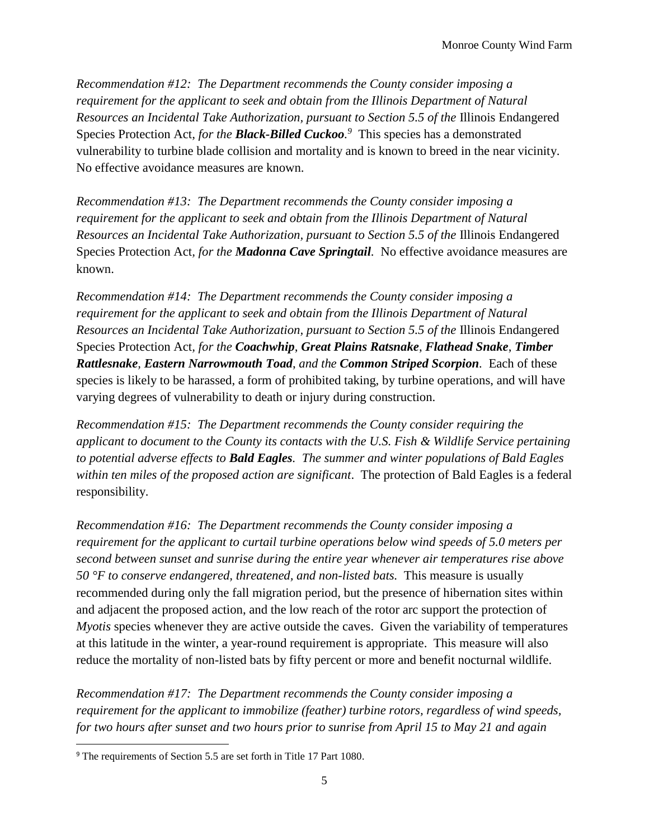*Recommendation #12: The Department recommends the County consider imposing a requirement for the applicant to seek and obtain from the Illinois Department of Natural Resources an Incidental Take Authorization, pursuant to Section 5.5 of the* Illinois Endangered Species Protection Act*, for the Black-Billed Cuckoo. 9* This species has a demonstrated vulnerability to turbine blade collision and mortality and is known to breed in the near vicinity. No effective avoidance measures are known.

*Recommendation #13: The Department recommends the County consider imposing a requirement for the applicant to seek and obtain from the Illinois Department of Natural Resources an Incidental Take Authorization, pursuant to Section 5.5 of the* Illinois Endangered Species Protection Act*, for the Madonna Cave Springtail.* No effective avoidance measures are known.

*Recommendation #14: The Department recommends the County consider imposing a requirement for the applicant to seek and obtain from the Illinois Department of Natural Resources an Incidental Take Authorization, pursuant to Section 5.5 of the* Illinois Endangered Species Protection Act*, for the Coachwhip*, *Great Plains Ratsnake*, *Flathead Snake*, *Timber Rattlesnake, Eastern Narrowmouth Toad*, *and the Common Striped Scorpion.* Each of these species is likely to be harassed, a form of prohibited taking, by turbine operations, and will have varying degrees of vulnerability to death or injury during construction.

*Recommendation #15: The Department recommends the County consider requiring the applicant to document to the County its contacts with the U.S. Fish & Wildlife Service pertaining to potential adverse effects to Bald Eagles. The summer and winter populations of Bald Eagles within ten miles of the proposed action are significant*. The protection of Bald Eagles is a federal responsibility.

*Recommendation #16: The Department recommends the County consider imposing a requirement for the applicant to curtail turbine operations below wind speeds of 5.0 meters per second between sunset and sunrise during the entire year whenever air temperatures rise above 50 °F to conserve endangered, threatened, and non-listed bats.* This measure is usually recommended during only the fall migration period, but the presence of hibernation sites within and adjacent the proposed action, and the low reach of the rotor arc support the protection of *Myotis* species whenever they are active outside the caves. Given the variability of temperatures at this latitude in the winter, a year-round requirement is appropriate. This measure will also reduce the mortality of non-listed bats by fifty percent or more and benefit nocturnal wildlife.

*Recommendation #17: The Department recommends the County consider imposing a requirement for the applicant to immobilize (feather) turbine rotors, regardless of wind speeds, for two hours after sunset and two hours prior to sunrise from April 15 to May 21 and again* 

<sup>9</sup> The requirements of Section 5.5 are set forth in Title 17 Part 1080.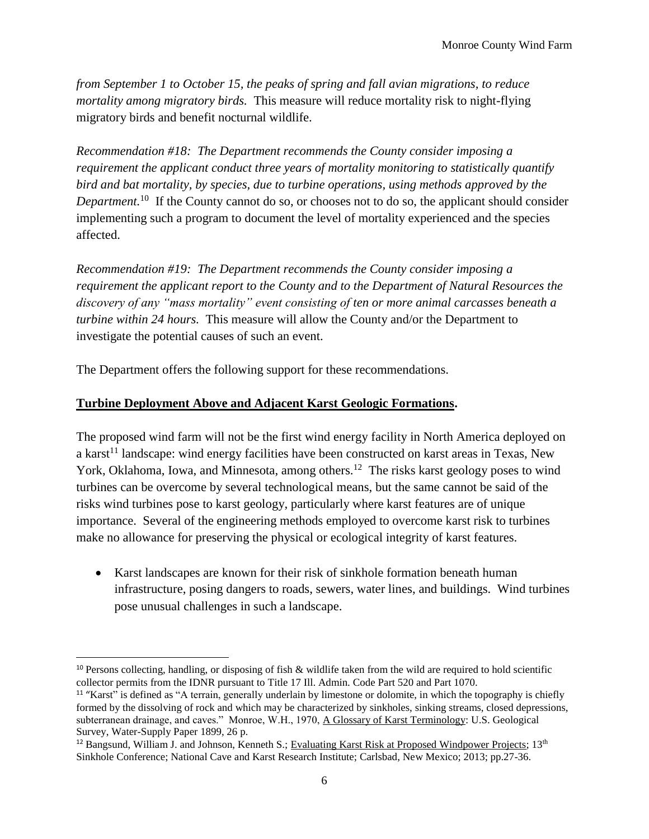*from September 1 to October 15, the peaks of spring and fall avian migrations, to reduce mortality among migratory birds.* This measure will reduce mortality risk to night-flying migratory birds and benefit nocturnal wildlife.

*Recommendation #18: The Department recommends the County consider imposing a requirement the applicant conduct three years of mortality monitoring to statistically quantify bird and bat mortality, by species, due to turbine operations, using methods approved by the*  Department.<sup>10</sup> If the County cannot do so, or chooses not to do so, the applicant should consider implementing such a program to document the level of mortality experienced and the species affected.

*Recommendation #19: The Department recommends the County consider imposing a requirement the applicant report to the County and to the Department of Natural Resources the discovery of any "mass mortality" event consisting of ten or more animal carcasses beneath a turbine within 24 hours.* This measure will allow the County and/or the Department to investigate the potential causes of such an event.

The Department offers the following support for these recommendations.

#### **Turbine Deployment Above and Adjacent Karst Geologic Formations.**

 $\overline{\phantom{a}}$ 

The proposed wind farm will not be the first wind energy facility in North America deployed on a karst<sup>11</sup> landscape: wind energy facilities have been constructed on karst areas in Texas, New York, Oklahoma, Iowa, and Minnesota, among others.<sup>12</sup> The risks karst geology poses to wind turbines can be overcome by several technological means, but the same cannot be said of the risks wind turbines pose to karst geology, particularly where karst features are of unique importance. Several of the engineering methods employed to overcome karst risk to turbines make no allowance for preserving the physical or ecological integrity of karst features.

• Karst landscapes are known for their risk of sinkhole formation beneath human infrastructure, posing dangers to roads, sewers, water lines, and buildings. Wind turbines pose unusual challenges in such a landscape.

<sup>&</sup>lt;sup>10</sup> Persons collecting, handling, or disposing of fish & wildlife taken from the wild are required to hold scientific collector permits from the IDNR pursuant to Title 17 Ill. Admin. Code Part 520 and Part 1070.

<sup>&</sup>lt;sup>11</sup> "Karst" is defined as "A terrain, generally underlain by limestone or dolomite, in which the topography is chiefly formed by the dissolving of rock and which may be characterized by sinkholes, sinking streams, closed depressions, subterranean drainage, and caves." Monroe, W.H., 1970, A Glossary of Karst Terminology: U.S. Geological Survey, Water-Supply Paper 1899, 26 p.

 $12$  Bangsund, William J. and Johnson, Kenneth S.; Evaluating Karst Risk at Proposed Windpower Projects;  $13<sup>th</sup>$ Sinkhole Conference; National Cave and Karst Research Institute; Carlsbad, New Mexico; 2013; pp.27-36.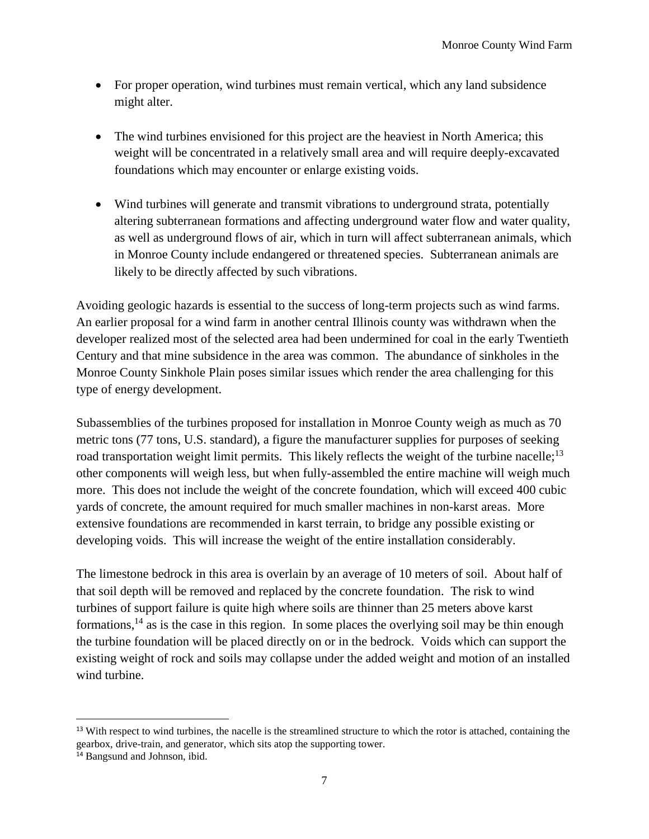- For proper operation, wind turbines must remain vertical, which any land subsidence might alter.
- The wind turbines envisioned for this project are the heaviest in North America; this weight will be concentrated in a relatively small area and will require deeply-excavated foundations which may encounter or enlarge existing voids.
- Wind turbines will generate and transmit vibrations to underground strata, potentially altering subterranean formations and affecting underground water flow and water quality, as well as underground flows of air, which in turn will affect subterranean animals, which in Monroe County include endangered or threatened species. Subterranean animals are likely to be directly affected by such vibrations.

Avoiding geologic hazards is essential to the success of long-term projects such as wind farms. An earlier proposal for a wind farm in another central Illinois county was withdrawn when the developer realized most of the selected area had been undermined for coal in the early Twentieth Century and that mine subsidence in the area was common. The abundance of sinkholes in the Monroe County Sinkhole Plain poses similar issues which render the area challenging for this type of energy development.

Subassemblies of the turbines proposed for installation in Monroe County weigh as much as 70 metric tons (77 tons, U.S. standard), a figure the manufacturer supplies for purposes of seeking road transportation weight limit permits. This likely reflects the weight of the turbine nacelle;<sup>13</sup> other components will weigh less, but when fully-assembled the entire machine will weigh much more. This does not include the weight of the concrete foundation, which will exceed 400 cubic yards of concrete, the amount required for much smaller machines in non-karst areas. More extensive foundations are recommended in karst terrain, to bridge any possible existing or developing voids. This will increase the weight of the entire installation considerably.

The limestone bedrock in this area is overlain by an average of 10 meters of soil. About half of that soil depth will be removed and replaced by the concrete foundation. The risk to wind turbines of support failure is quite high where soils are thinner than 25 meters above karst formations,  $^{14}$  as is the case in this region. In some places the overlying soil may be thin enough the turbine foundation will be placed directly on or in the bedrock. Voids which can support the existing weight of rock and soils may collapse under the added weight and motion of an installed wind turbine.

<sup>&</sup>lt;sup>13</sup> With respect to wind turbines, the nacelle is the streamlined structure to which the rotor is attached, containing the gearbox, drive-train, and generator, which sits atop the supporting tower.

<sup>14</sup> Bangsund and Johnson, ibid.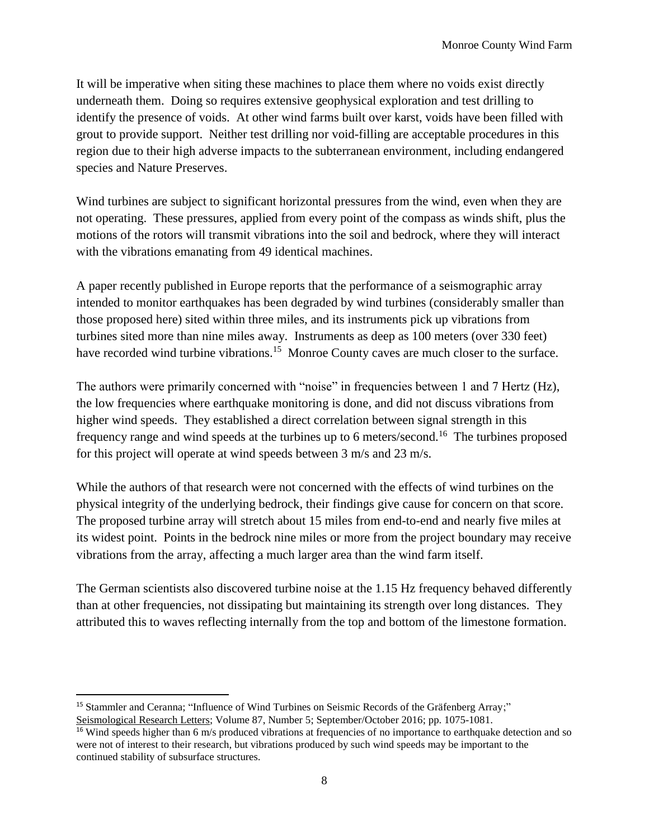It will be imperative when siting these machines to place them where no voids exist directly underneath them. Doing so requires extensive geophysical exploration and test drilling to identify the presence of voids. At other wind farms built over karst, voids have been filled with grout to provide support. Neither test drilling nor void-filling are acceptable procedures in this region due to their high adverse impacts to the subterranean environment, including endangered species and Nature Preserves.

Wind turbines are subject to significant horizontal pressures from the wind, even when they are not operating. These pressures, applied from every point of the compass as winds shift, plus the motions of the rotors will transmit vibrations into the soil and bedrock, where they will interact with the vibrations emanating from 49 identical machines.

A paper recently published in Europe reports that the performance of a seismographic array intended to monitor earthquakes has been degraded by wind turbines (considerably smaller than those proposed here) sited within three miles, and its instruments pick up vibrations from turbines sited more than nine miles away. Instruments as deep as 100 meters (over 330 feet) have recorded wind turbine vibrations.<sup>15</sup> Monroe County caves are much closer to the surface.

The authors were primarily concerned with "noise" in frequencies between 1 and 7 Hertz (Hz), the low frequencies where earthquake monitoring is done, and did not discuss vibrations from higher wind speeds. They established a direct correlation between signal strength in this frequency range and wind speeds at the turbines up to 6 meters/second.<sup>16</sup> The turbines proposed for this project will operate at wind speeds between 3 m/s and 23 m/s.

While the authors of that research were not concerned with the effects of wind turbines on the physical integrity of the underlying bedrock, their findings give cause for concern on that score. The proposed turbine array will stretch about 15 miles from end-to-end and nearly five miles at its widest point. Points in the bedrock nine miles or more from the project boundary may receive vibrations from the array, affecting a much larger area than the wind farm itself.

The German scientists also discovered turbine noise at the 1.15 Hz frequency behaved differently than at other frequencies, not dissipating but maintaining its strength over long distances. They attributed this to waves reflecting internally from the top and bottom of the limestone formation.

 $\overline{\phantom{a}}$ <sup>15</sup> Stammler and Ceranna; "Influence of Wind Turbines on Seismic Records of the Gräfenberg Array;" Seismological Research Letters; Volume 87, Number 5; September/October 2016; pp. 1075-1081.

<sup>&</sup>lt;sup>16</sup> Wind speeds higher than 6 m/s produced vibrations at frequencies of no importance to earthquake detection and so were not of interest to their research, but vibrations produced by such wind speeds may be important to the continued stability of subsurface structures.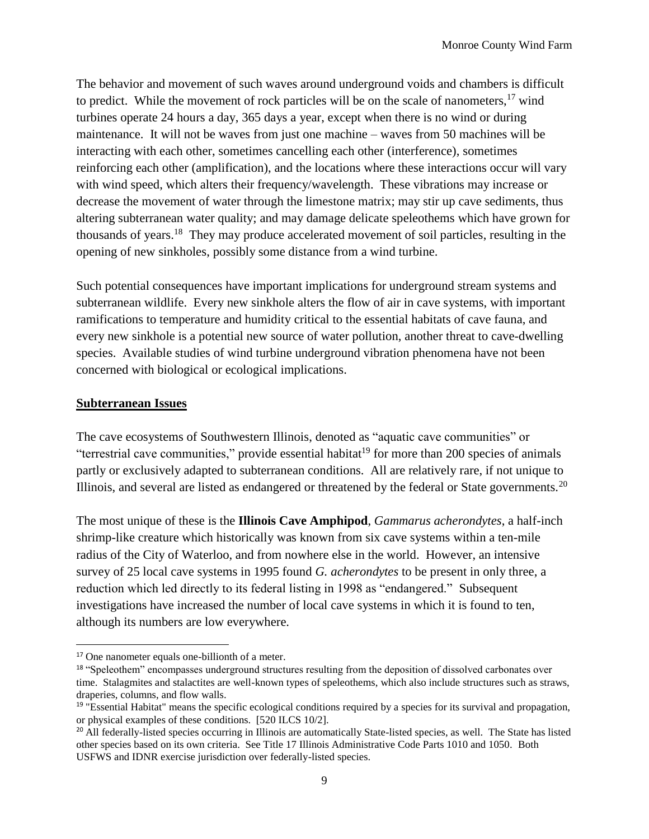The behavior and movement of such waves around underground voids and chambers is difficult to predict. While the movement of rock particles will be on the scale of nanometers,  $17$  wind turbines operate 24 hours a day, 365 days a year, except when there is no wind or during maintenance. It will not be waves from just one machine – waves from 50 machines will be interacting with each other, sometimes cancelling each other (interference), sometimes reinforcing each other (amplification), and the locations where these interactions occur will vary with wind speed, which alters their frequency/wavelength. These vibrations may increase or decrease the movement of water through the limestone matrix; may stir up cave sediments, thus altering subterranean water quality; and may damage delicate speleothems which have grown for thousands of years.<sup>18</sup> They may produce accelerated movement of soil particles, resulting in the opening of new sinkholes, possibly some distance from a wind turbine.

Such potential consequences have important implications for underground stream systems and subterranean wildlife. Every new sinkhole alters the flow of air in cave systems, with important ramifications to temperature and humidity critical to the essential habitats of cave fauna, and every new sinkhole is a potential new source of water pollution, another threat to cave-dwelling species. Available studies of wind turbine underground vibration phenomena have not been concerned with biological or ecological implications.

#### **Subterranean Issues**

 $\overline{a}$ 

The cave ecosystems of Southwestern Illinois, denoted as "aquatic cave communities" or "terrestrial cave communities," provide essential habitat<sup>19</sup> for more than 200 species of animals partly or exclusively adapted to subterranean conditions. All are relatively rare, if not unique to Illinois, and several are listed as endangered or threatened by the federal or State governments.<sup>20</sup>

The most unique of these is the **Illinois Cave Amphipod**, *Gammarus acherondytes*, a half-inch shrimp-like creature which historically was known from six cave systems within a ten-mile radius of the City of Waterloo, and from nowhere else in the world. However, an intensive survey of 25 local cave systems in 1995 found *G. acherondytes* to be present in only three, a reduction which led directly to its federal listing in 1998 as "endangered." Subsequent investigations have increased the number of local cave systems in which it is found to ten, although its numbers are low everywhere.

<sup>17</sup> One nanometer equals one-billionth of a meter.

<sup>&</sup>lt;sup>18</sup> "Speleothem" encompasses underground structures resulting from the deposition of dissolved carbonates over time. Stalagmites and stalactites are well-known types of speleothems, which also include structures such as straws, draperies, columns, and flow walls.

 $19$  "Essential Habitat" means the specific ecological conditions required by a species for its survival and propagation, or physical examples of these conditions. [520 ILCS 10/2].

<sup>&</sup>lt;sup>20</sup> All federally-listed species occurring in Illinois are automatically State-listed species, as well. The State has listed other species based on its own criteria. See Title 17 Illinois Administrative Code Parts 1010 and 1050. Both USFWS and IDNR exercise jurisdiction over federally-listed species.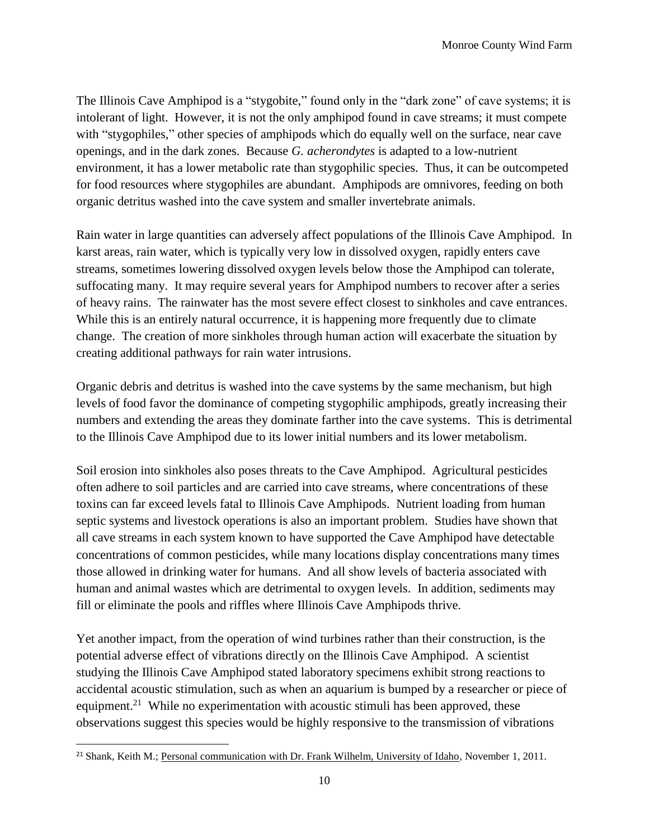The Illinois Cave Amphipod is a "stygobite," found only in the "dark zone" of cave systems; it is intolerant of light. However, it is not the only amphipod found in cave streams; it must compete with "stygophiles," other species of amphipods which do equally well on the surface, near cave openings, and in the dark zones. Because *G. acherondytes* is adapted to a low-nutrient environment, it has a lower metabolic rate than stygophilic species. Thus, it can be outcompeted for food resources where stygophiles are abundant. Amphipods are omnivores, feeding on both organic detritus washed into the cave system and smaller invertebrate animals.

Rain water in large quantities can adversely affect populations of the Illinois Cave Amphipod. In karst areas, rain water, which is typically very low in dissolved oxygen, rapidly enters cave streams, sometimes lowering dissolved oxygen levels below those the Amphipod can tolerate, suffocating many. It may require several years for Amphipod numbers to recover after a series of heavy rains. The rainwater has the most severe effect closest to sinkholes and cave entrances. While this is an entirely natural occurrence, it is happening more frequently due to climate change. The creation of more sinkholes through human action will exacerbate the situation by creating additional pathways for rain water intrusions.

Organic debris and detritus is washed into the cave systems by the same mechanism, but high levels of food favor the dominance of competing stygophilic amphipods, greatly increasing their numbers and extending the areas they dominate farther into the cave systems. This is detrimental to the Illinois Cave Amphipod due to its lower initial numbers and its lower metabolism.

Soil erosion into sinkholes also poses threats to the Cave Amphipod. Agricultural pesticides often adhere to soil particles and are carried into cave streams, where concentrations of these toxins can far exceed levels fatal to Illinois Cave Amphipods. Nutrient loading from human septic systems and livestock operations is also an important problem. Studies have shown that all cave streams in each system known to have supported the Cave Amphipod have detectable concentrations of common pesticides, while many locations display concentrations many times those allowed in drinking water for humans. And all show levels of bacteria associated with human and animal wastes which are detrimental to oxygen levels. In addition, sediments may fill or eliminate the pools and riffles where Illinois Cave Amphipods thrive.

Yet another impact, from the operation of wind turbines rather than their construction, is the potential adverse effect of vibrations directly on the Illinois Cave Amphipod. A scientist studying the Illinois Cave Amphipod stated laboratory specimens exhibit strong reactions to accidental acoustic stimulation, such as when an aquarium is bumped by a researcher or piece of equipment.<sup>21</sup> While no experimentation with acoustic stimuli has been approved, these observations suggest this species would be highly responsive to the transmission of vibrations

<sup>&</sup>lt;sup>21</sup> Shank, Keith M.; Personal communication with Dr. Frank Wilhelm, University of Idaho, November 1, 2011.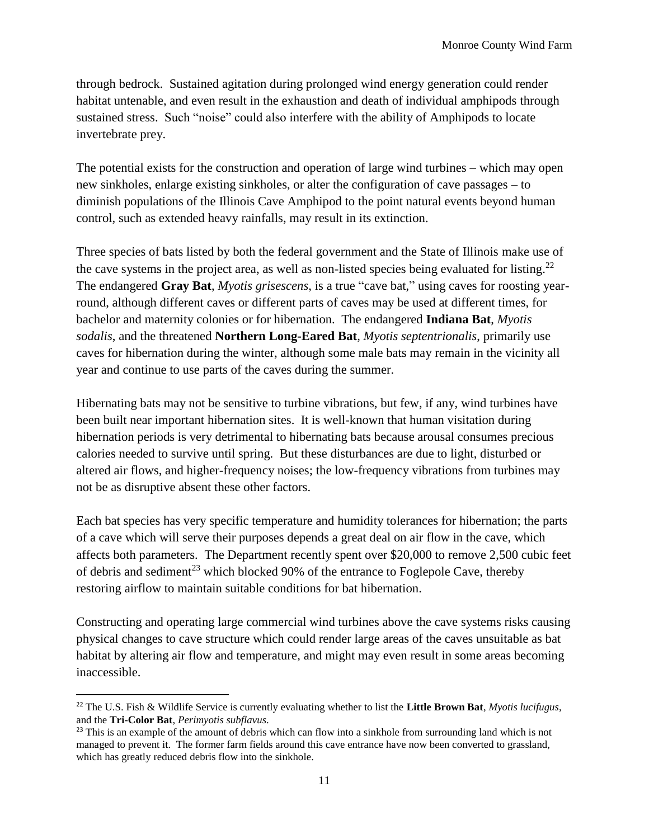through bedrock. Sustained agitation during prolonged wind energy generation could render habitat untenable, and even result in the exhaustion and death of individual amphipods through sustained stress. Such "noise" could also interfere with the ability of Amphipods to locate invertebrate prey.

The potential exists for the construction and operation of large wind turbines – which may open new sinkholes, enlarge existing sinkholes, or alter the configuration of cave passages – to diminish populations of the Illinois Cave Amphipod to the point natural events beyond human control, such as extended heavy rainfalls, may result in its extinction.

Three species of bats listed by both the federal government and the State of Illinois make use of the cave systems in the project area, as well as non-listed species being evaluated for listing.<sup>22</sup> The endangered **Gray Bat**, *Myotis grisescens*, is a true "cave bat," using caves for roosting yearround, although different caves or different parts of caves may be used at different times, for bachelor and maternity colonies or for hibernation. The endangered **Indiana Bat**, *Myotis sodalis*, and the threatened **Northern Long-Eared Bat**, *Myotis septentrionalis*, primarily use caves for hibernation during the winter, although some male bats may remain in the vicinity all year and continue to use parts of the caves during the summer.

Hibernating bats may not be sensitive to turbine vibrations, but few, if any, wind turbines have been built near important hibernation sites. It is well-known that human visitation during hibernation periods is very detrimental to hibernating bats because arousal consumes precious calories needed to survive until spring. But these disturbances are due to light, disturbed or altered air flows, and higher-frequency noises; the low-frequency vibrations from turbines may not be as disruptive absent these other factors.

Each bat species has very specific temperature and humidity tolerances for hibernation; the parts of a cave which will serve their purposes depends a great deal on air flow in the cave, which affects both parameters. The Department recently spent over \$20,000 to remove 2,500 cubic feet of debris and sediment<sup>23</sup> which blocked 90% of the entrance to Foglepole Cave, thereby restoring airflow to maintain suitable conditions for bat hibernation.

Constructing and operating large commercial wind turbines above the cave systems risks causing physical changes to cave structure which could render large areas of the caves unsuitable as bat habitat by altering air flow and temperature, and might may even result in some areas becoming inaccessible.

<sup>22</sup> The U.S. Fish & Wildlife Service is currently evaluating whether to list the **Little Brown Bat**, *Myotis lucifugus*, and the **Tri-Color Bat**, *Perimyotis subflavus*.

<sup>&</sup>lt;sup>23</sup> This is an example of the amount of debris which can flow into a sinkhole from surrounding land which is not managed to prevent it. The former farm fields around this cave entrance have now been converted to grassland, which has greatly reduced debris flow into the sinkhole.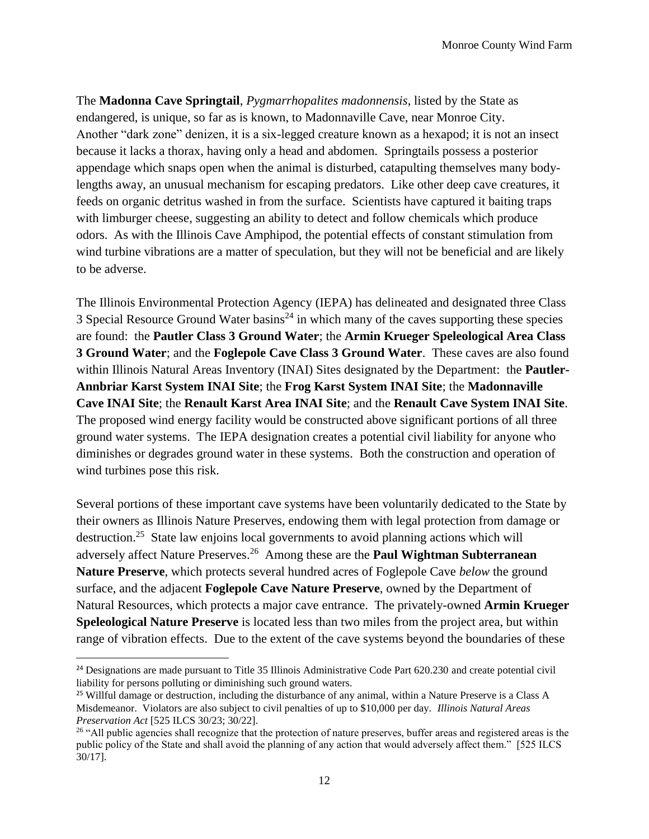The **Madonna Cave Springtail**, *Pygmarrhopalites madonnensis*, listed by the State as endangered, is unique, so far as is known, to Madonnaville Cave, near Monroe City. Another "dark zone" denizen, it is a six-legged creature known as a hexapod; it is not an insect because it lacks a thorax, having only a head and abdomen. Springtails possess a posterior appendage which snaps open when the animal is disturbed, catapulting themselves many bodylengths away, an unusual mechanism for escaping predators. Like other deep cave creatures, it feeds on organic detritus washed in from the surface. Scientists have captured it baiting traps with limburger cheese, suggesting an ability to detect and follow chemicals which produce odors. As with the Illinois Cave Amphipod, the potential effects of constant stimulation from wind turbine vibrations are a matter of speculation, but they will not be beneficial and are likely to be adverse.

The Illinois Environmental Protection Agency (IEPA) has delineated and designated three Class 3 Special Resource Ground Water basins<sup>24</sup> in which many of the caves supporting these species are found: the **Pautler Class 3 Ground Water**; the **Armin Krueger Speleological Area Class 3 Ground Water**; and the **Foglepole Cave Class 3 Ground Water**. These caves are also found within Illinois Natural Areas Inventory (INAI) Sites designated by the Department: the **Pautler-Annbriar Karst System INAI Site**; the **Frog Karst System INAI Site**; the **Madonnaville Cave INAI Site**; the **Renault Karst Area INAI Site**; and the **Renault Cave System INAI Site**. The proposed wind energy facility would be constructed above significant portions of all three ground water systems. The IEPA designation creates a potential civil liability for anyone who diminishes or degrades ground water in these systems. Both the construction and operation of wind turbines pose this risk.

Several portions of these important cave systems have been voluntarily dedicated to the State by their owners as Illinois Nature Preserves, endowing them with legal protection from damage or destruction.<sup>25</sup> State law enjoins local governments to avoid planning actions which will adversely affect Nature Preserves. 26 Among these are the **Paul Wightman Subterranean Nature Preserve**, which protects several hundred acres of Foglepole Cave *below* the ground surface, and the adjacent **Foglepole Cave Nature Preserve**, owned by the Department of Natural Resources, which protects a major cave entrance. The privately-owned **Armin Krueger Speleological Nature Preserve** is located less than two miles from the project area, but within range of vibration effects. Due to the extent of the cave systems beyond the boundaries of these

<sup>&</sup>lt;sup>24</sup> Designations are made pursuant to Title 35 Illinois Administrative Code Part 620.230 and create potential civil liability for persons polluting or diminishing such ground waters.

<sup>&</sup>lt;sup>25</sup> Willful damage or destruction, including the disturbance of any animal, within a Nature Preserve is a Class A Misdemeanor. Violators are also subject to civil penalties of up to \$10,000 per day. *Illinois Natural Areas Preservation Act* [525 ILCS 30/23; 30/22].

<sup>&</sup>lt;sup>26</sup> "All public agencies shall recognize that the protection of nature preserves, buffer areas and registered areas is the public policy of the State and shall avoid the planning of any action that would adversely affect them." [525 ILCS 30/17].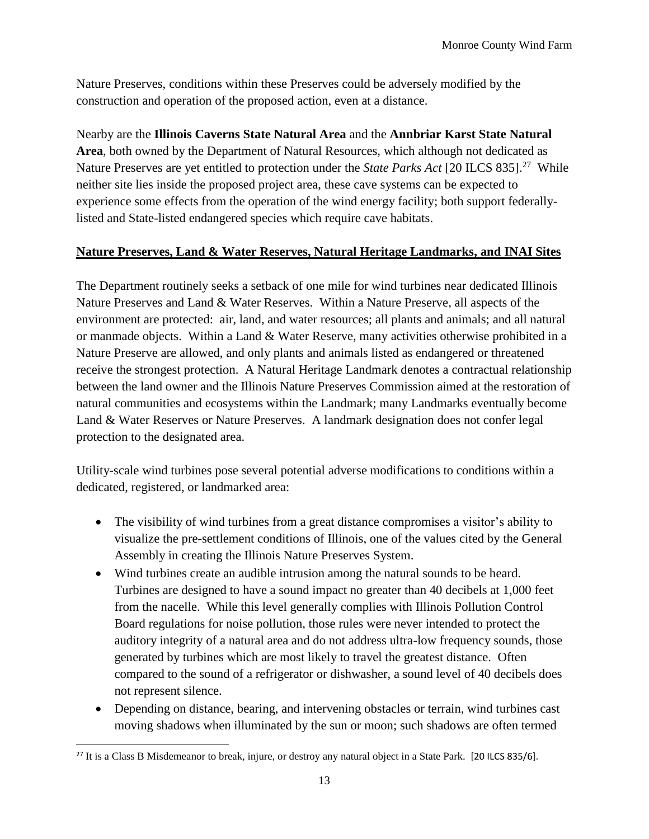Nature Preserves, conditions within these Preserves could be adversely modified by the construction and operation of the proposed action, even at a distance.

Nearby are the **Illinois Caverns State Natural Area** and the **Annbriar Karst State Natural Area**, both owned by the Department of Natural Resources, which although not dedicated as Nature Preserves are yet entitled to protection under the *State Parks Act* [20 ILCS 835].<sup>27</sup> While neither site lies inside the proposed project area, these cave systems can be expected to experience some effects from the operation of the wind energy facility; both support federallylisted and State-listed endangered species which require cave habitats.

### **Nature Preserves, Land & Water Reserves, Natural Heritage Landmarks, and INAI Sites**

The Department routinely seeks a setback of one mile for wind turbines near dedicated Illinois Nature Preserves and Land & Water Reserves. Within a Nature Preserve, all aspects of the environment are protected: air, land, and water resources; all plants and animals; and all natural or manmade objects. Within a Land & Water Reserve, many activities otherwise prohibited in a Nature Preserve are allowed, and only plants and animals listed as endangered or threatened receive the strongest protection. A Natural Heritage Landmark denotes a contractual relationship between the land owner and the Illinois Nature Preserves Commission aimed at the restoration of natural communities and ecosystems within the Landmark; many Landmarks eventually become Land & Water Reserves or Nature Preserves. A landmark designation does not confer legal protection to the designated area.

Utility-scale wind turbines pose several potential adverse modifications to conditions within a dedicated, registered, or landmarked area:

- The visibility of wind turbines from a great distance compromises a visitor's ability to visualize the pre-settlement conditions of Illinois, one of the values cited by the General Assembly in creating the Illinois Nature Preserves System.
- Wind turbines create an audible intrusion among the natural sounds to be heard. Turbines are designed to have a sound impact no greater than 40 decibels at 1,000 feet from the nacelle. While this level generally complies with Illinois Pollution Control Board regulations for noise pollution, those rules were never intended to protect the auditory integrity of a natural area and do not address ultra-low frequency sounds, those generated by turbines which are most likely to travel the greatest distance. Often compared to the sound of a refrigerator or dishwasher, a sound level of 40 decibels does not represent silence.
- Depending on distance, bearing, and intervening obstacles or terrain, wind turbines cast moving shadows when illuminated by the sun or moon; such shadows are often termed

<sup>&</sup>lt;sup>27</sup> It is a Class B Misdemeanor to break, injure, or destroy any natural object in a State Park. [20 ILCS 835/6].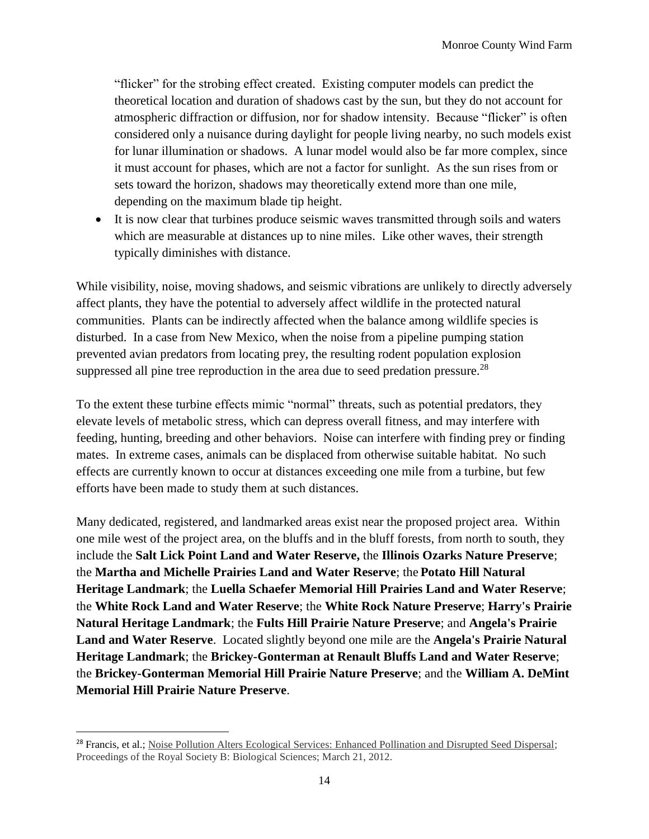"flicker" for the strobing effect created. Existing computer models can predict the theoretical location and duration of shadows cast by the sun, but they do not account for atmospheric diffraction or diffusion, nor for shadow intensity. Because "flicker" is often considered only a nuisance during daylight for people living nearby, no such models exist for lunar illumination or shadows. A lunar model would also be far more complex, since it must account for phases, which are not a factor for sunlight. As the sun rises from or sets toward the horizon, shadows may theoretically extend more than one mile, depending on the maximum blade tip height.

• It is now clear that turbines produce seismic waves transmitted through soils and waters which are measurable at distances up to nine miles. Like other waves, their strength typically diminishes with distance.

While visibility, noise, moving shadows, and seismic vibrations are unlikely to directly adversely affect plants, they have the potential to adversely affect wildlife in the protected natural communities. Plants can be indirectly affected when the balance among wildlife species is disturbed. In a case from New Mexico, when the noise from a pipeline pumping station prevented avian predators from locating prey, the resulting rodent population explosion suppressed all pine tree reproduction in the area due to seed predation pressure.<sup>28</sup>

To the extent these turbine effects mimic "normal" threats, such as potential predators, they elevate levels of metabolic stress, which can depress overall fitness, and may interfere with feeding, hunting, breeding and other behaviors. Noise can interfere with finding prey or finding mates. In extreme cases, animals can be displaced from otherwise suitable habitat. No such effects are currently known to occur at distances exceeding one mile from a turbine, but few efforts have been made to study them at such distances.

Many dedicated, registered, and landmarked areas exist near the proposed project area. Within one mile west of the project area, on the bluffs and in the bluff forests, from north to south, they include the **Salt Lick Point Land and Water Reserve,** the **Illinois Ozarks Nature Preserve**; the **Martha and Michelle Prairies Land and Water Reserve**; the **Potato Hill Natural Heritage Landmark**; the **Luella Schaefer Memorial Hill Prairies Land and Water Reserve**; the **White Rock Land and Water Reserve**; the **White Rock Nature Preserve**; **Harry's Prairie Natural Heritage Landmark**; the **Fults Hill Prairie Nature Preserve**; and **Angela's Prairie Land and Water Reserve**. Located slightly beyond one mile are the **Angela's Prairie Natural Heritage Landmark**; the **Brickey-Gonterman at Renault Bluffs Land and Water Reserve**; the **Brickey-Gonterman Memorial Hill Prairie Nature Preserve**; and the **William A. DeMint Memorial Hill Prairie Nature Preserve**.

l

<sup>&</sup>lt;sup>28</sup> Francis, et al.; Noise Pollution Alters Ecological Services: Enhanced Pollination and Disrupted Seed Dispersal; Proceedings of the Royal Society B: Biological Sciences; March 21, 2012.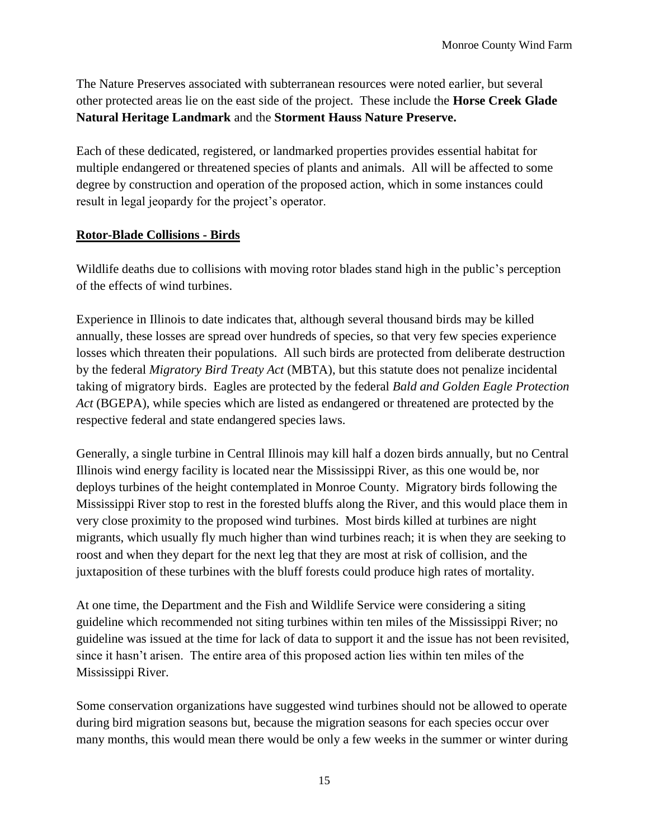The Nature Preserves associated with subterranean resources were noted earlier, but several other protected areas lie on the east side of the project. These include the **Horse Creek Glade Natural Heritage Landmark** and the **Storment Hauss Nature Preserve.**

Each of these dedicated, registered, or landmarked properties provides essential habitat for multiple endangered or threatened species of plants and animals. All will be affected to some degree by construction and operation of the proposed action, which in some instances could result in legal jeopardy for the project's operator.

#### **Rotor-Blade Collisions - Birds**

Wildlife deaths due to collisions with moving rotor blades stand high in the public's perception of the effects of wind turbines.

Experience in Illinois to date indicates that, although several thousand birds may be killed annually, these losses are spread over hundreds of species, so that very few species experience losses which threaten their populations. All such birds are protected from deliberate destruction by the federal *Migratory Bird Treaty Act* (MBTA), but this statute does not penalize incidental taking of migratory birds. Eagles are protected by the federal *Bald and Golden Eagle Protection Act* (BGEPA), while species which are listed as endangered or threatened are protected by the respective federal and state endangered species laws.

Generally, a single turbine in Central Illinois may kill half a dozen birds annually, but no Central Illinois wind energy facility is located near the Mississippi River, as this one would be, nor deploys turbines of the height contemplated in Monroe County. Migratory birds following the Mississippi River stop to rest in the forested bluffs along the River, and this would place them in very close proximity to the proposed wind turbines. Most birds killed at turbines are night migrants, which usually fly much higher than wind turbines reach; it is when they are seeking to roost and when they depart for the next leg that they are most at risk of collision, and the juxtaposition of these turbines with the bluff forests could produce high rates of mortality.

At one time, the Department and the Fish and Wildlife Service were considering a siting guideline which recommended not siting turbines within ten miles of the Mississippi River; no guideline was issued at the time for lack of data to support it and the issue has not been revisited, since it hasn't arisen. The entire area of this proposed action lies within ten miles of the Mississippi River.

Some conservation organizations have suggested wind turbines should not be allowed to operate during bird migration seasons but, because the migration seasons for each species occur over many months, this would mean there would be only a few weeks in the summer or winter during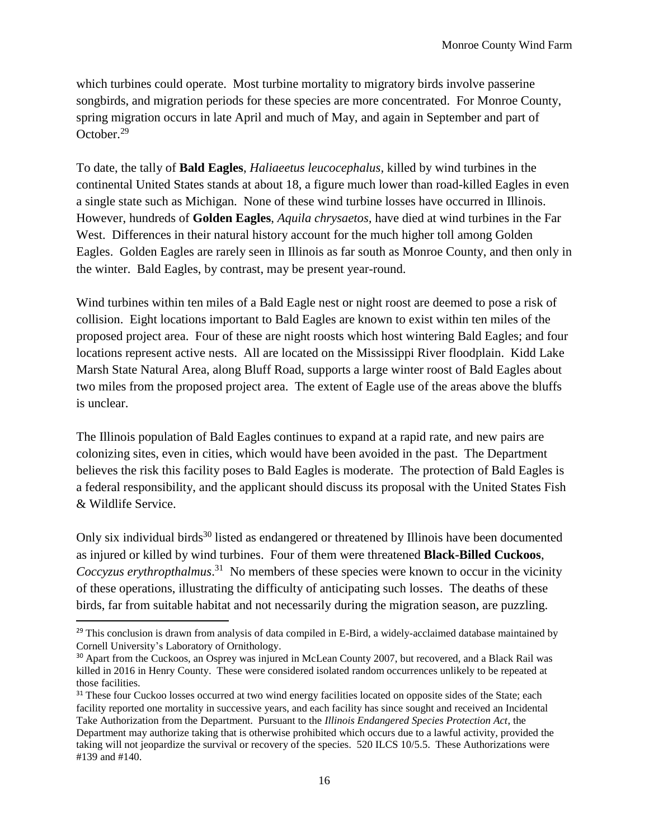which turbines could operate. Most turbine mortality to migratory birds involve passerine songbirds, and migration periods for these species are more concentrated. For Monroe County, spring migration occurs in late April and much of May, and again in September and part of October.<sup>29</sup>

To date, the tally of **Bald Eagles**, *Haliaeetus leucocephalus,* killed by wind turbines in the continental United States stands at about 18, a figure much lower than road-killed Eagles in even a single state such as Michigan. None of these wind turbine losses have occurred in Illinois. However, hundreds of **Golden Eagles**, *Aquila chrysaetos,* have died at wind turbines in the Far West. Differences in their natural history account for the much higher toll among Golden Eagles. Golden Eagles are rarely seen in Illinois as far south as Monroe County, and then only in the winter. Bald Eagles, by contrast, may be present year-round.

Wind turbines within ten miles of a Bald Eagle nest or night roost are deemed to pose a risk of collision. Eight locations important to Bald Eagles are known to exist within ten miles of the proposed project area. Four of these are night roosts which host wintering Bald Eagles; and four locations represent active nests. All are located on the Mississippi River floodplain. Kidd Lake Marsh State Natural Area, along Bluff Road, supports a large winter roost of Bald Eagles about two miles from the proposed project area. The extent of Eagle use of the areas above the bluffs is unclear.

The Illinois population of Bald Eagles continues to expand at a rapid rate, and new pairs are colonizing sites, even in cities, which would have been avoided in the past. The Department believes the risk this facility poses to Bald Eagles is moderate. The protection of Bald Eagles is a federal responsibility, and the applicant should discuss its proposal with the United States Fish & Wildlife Service.

Only six individual birds<sup>30</sup> listed as endangered or threatened by Illinois have been documented as injured or killed by wind turbines. Four of them were threatened **Black-Billed Cuckoos**, Coccyzus erythropthalmus.<sup>31</sup> No members of these species were known to occur in the vicinity of these operations, illustrating the difficulty of anticipating such losses. The deaths of these birds, far from suitable habitat and not necessarily during the migration season, are puzzling.

 $^{29}$  This conclusion is drawn from analysis of data compiled in E-Bird, a widely-acclaimed database maintained by Cornell University's Laboratory of Ornithology.

<sup>&</sup>lt;sup>30</sup> Apart from the Cuckoos, an Osprey was injured in McLean County 2007, but recovered, and a Black Rail was killed in 2016 in Henry County. These were considered isolated random occurrences unlikely to be repeated at those facilities.

<sup>&</sup>lt;sup>31</sup> These four Cuckoo losses occurred at two wind energy facilities located on opposite sides of the State; each facility reported one mortality in successive years, and each facility has since sought and received an Incidental Take Authorization from the Department. Pursuant to the *Illinois Endangered Species Protection Act*, the Department may authorize taking that is otherwise prohibited which occurs due to a lawful activity, provided the taking will not jeopardize the survival or recovery of the species. 520 ILCS 10/5.5. These Authorizations were #139 and #140.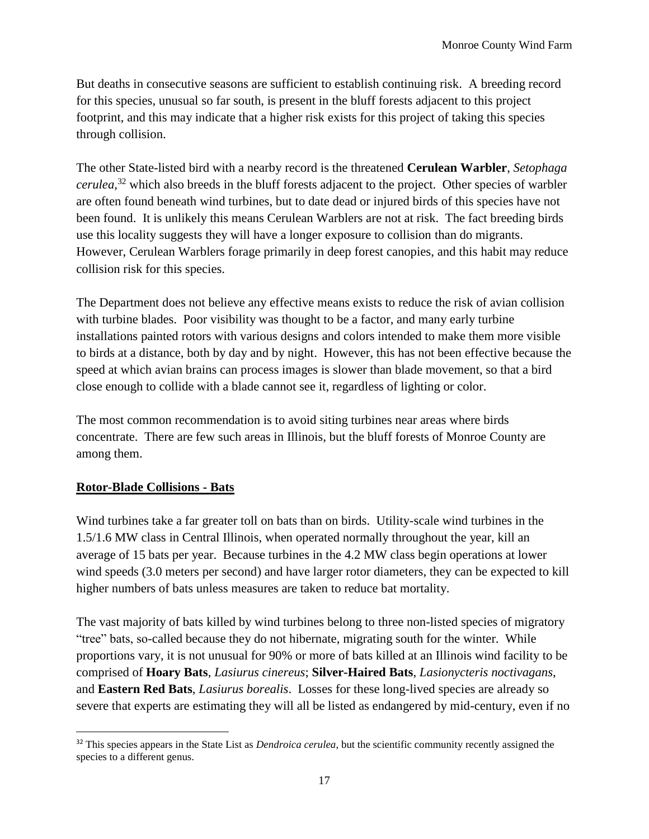But deaths in consecutive seasons are sufficient to establish continuing risk. A breeding record for this species, unusual so far south, is present in the bluff forests adjacent to this project footprint, and this may indicate that a higher risk exists for this project of taking this species through collision.

The other State-listed bird with a nearby record is the threatened **Cerulean Warbler**, *Setophaga cerulea*, <sup>32</sup> which also breeds in the bluff forests adjacent to the project. Other species of warbler are often found beneath wind turbines, but to date dead or injured birds of this species have not been found. It is unlikely this means Cerulean Warblers are not at risk. The fact breeding birds use this locality suggests they will have a longer exposure to collision than do migrants. However, Cerulean Warblers forage primarily in deep forest canopies, and this habit may reduce collision risk for this species.

The Department does not believe any effective means exists to reduce the risk of avian collision with turbine blades. Poor visibility was thought to be a factor, and many early turbine installations painted rotors with various designs and colors intended to make them more visible to birds at a distance, both by day and by night. However, this has not been effective because the speed at which avian brains can process images is slower than blade movement, so that a bird close enough to collide with a blade cannot see it, regardless of lighting or color.

The most common recommendation is to avoid siting turbines near areas where birds concentrate. There are few such areas in Illinois, but the bluff forests of Monroe County are among them.

#### **Rotor-Blade Collisions - Bats**

l

Wind turbines take a far greater toll on bats than on birds. Utility-scale wind turbines in the 1.5/1.6 MW class in Central Illinois, when operated normally throughout the year, kill an average of 15 bats per year. Because turbines in the 4.2 MW class begin operations at lower wind speeds (3.0 meters per second) and have larger rotor diameters, they can be expected to kill higher numbers of bats unless measures are taken to reduce bat mortality.

The vast majority of bats killed by wind turbines belong to three non-listed species of migratory "tree" bats, so-called because they do not hibernate, migrating south for the winter. While proportions vary, it is not unusual for 90% or more of bats killed at an Illinois wind facility to be comprised of **Hoary Bats**, *Lasiurus cinereus*; **Silver-Haired Bats**, *Lasionycteris noctivagans*, and **Eastern Red Bats**, *Lasiurus borealis*. Losses for these long-lived species are already so severe that experts are estimating they will all be listed as endangered by mid-century, even if no

<sup>32</sup> This species appears in the State List as *Dendroica cerulea*, but the scientific community recently assigned the species to a different genus.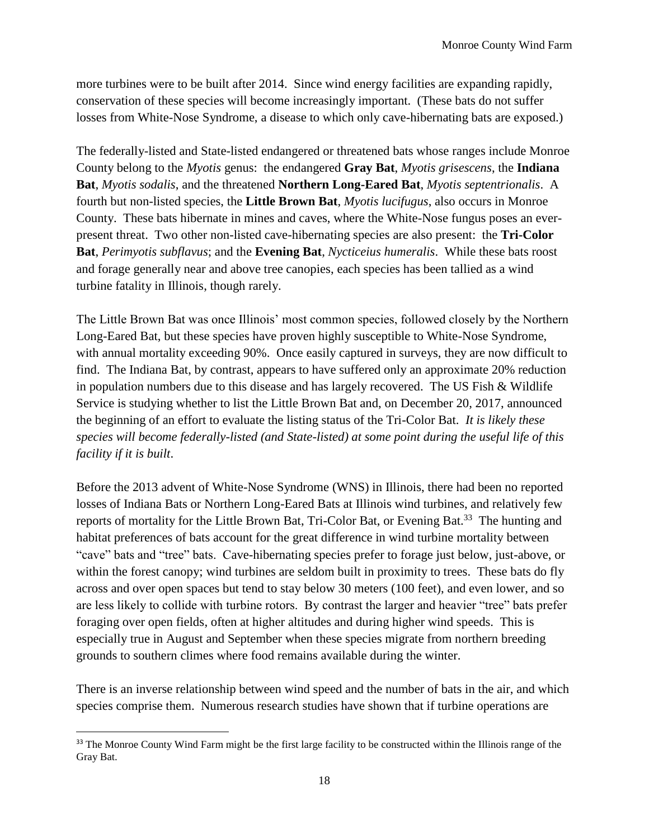more turbines were to be built after 2014. Since wind energy facilities are expanding rapidly, conservation of these species will become increasingly important. (These bats do not suffer losses from White-Nose Syndrome, a disease to which only cave-hibernating bats are exposed.)

The federally-listed and State-listed endangered or threatened bats whose ranges include Monroe County belong to the *Myotis* genus: the endangered **Gray Bat**, *Myotis grisescens*, the **Indiana Bat**, *Myotis sodalis*, and the threatened **Northern Long-Eared Bat**, *Myotis septentrionalis*. A fourth but non-listed species, the **Little Brown Bat**, *Myotis lucifugus*, also occurs in Monroe County. These bats hibernate in mines and caves, where the White-Nose fungus poses an everpresent threat. Two other non-listed cave-hibernating species are also present: the **Tri-Color Bat**, *Perimyotis subflavus*; and the **Evening Bat**, *Nycticeius humeralis*. While these bats roost and forage generally near and above tree canopies, each species has been tallied as a wind turbine fatality in Illinois, though rarely.

The Little Brown Bat was once Illinois' most common species, followed closely by the Northern Long-Eared Bat, but these species have proven highly susceptible to White-Nose Syndrome, with annual mortality exceeding 90%. Once easily captured in surveys, they are now difficult to find. The Indiana Bat, by contrast, appears to have suffered only an approximate 20% reduction in population numbers due to this disease and has largely recovered. The US Fish & Wildlife Service is studying whether to list the Little Brown Bat and, on December 20, 2017, announced the beginning of an effort to evaluate the listing status of the Tri-Color Bat. *It is likely these species will become federally-listed (and State-listed) at some point during the useful life of this facility if it is built*.

Before the 2013 advent of White-Nose Syndrome (WNS) in Illinois, there had been no reported losses of Indiana Bats or Northern Long-Eared Bats at Illinois wind turbines, and relatively few reports of mortality for the Little Brown Bat, Tri-Color Bat, or Evening Bat.<sup>33</sup> The hunting and habitat preferences of bats account for the great difference in wind turbine mortality between "cave" bats and "tree" bats. Cave-hibernating species prefer to forage just below, just-above, or within the forest canopy; wind turbines are seldom built in proximity to trees. These bats do fly across and over open spaces but tend to stay below 30 meters (100 feet), and even lower, and so are less likely to collide with turbine rotors. By contrast the larger and heavier "tree" bats prefer foraging over open fields, often at higher altitudes and during higher wind speeds. This is especially true in August and September when these species migrate from northern breeding grounds to southern climes where food remains available during the winter.

There is an inverse relationship between wind speed and the number of bats in the air, and which species comprise them. Numerous research studies have shown that if turbine operations are

l

<sup>&</sup>lt;sup>33</sup> The Monroe County Wind Farm might be the first large facility to be constructed within the Illinois range of the Gray Bat.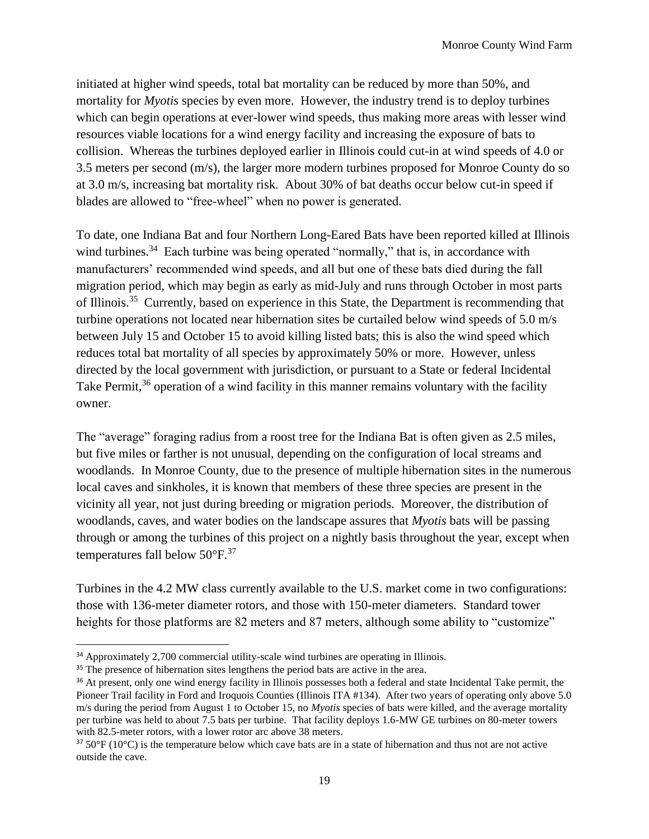initiated at higher wind speeds, total bat mortality can be reduced by more than 50%, and mortality for *Myotis* species by even more. However, the industry trend is to deploy turbines which can begin operations at ever-lower wind speeds, thus making more areas with lesser wind resources viable locations for a wind energy facility and increasing the exposure of bats to collision. Whereas the turbines deployed earlier in Illinois could cut-in at wind speeds of 4.0 or 3.5 meters per second (m/s), the larger more modern turbines proposed for Monroe County do so at 3.0 m/s, increasing bat mortality risk. About 30% of bat deaths occur below cut-in speed if blades are allowed to "free-wheel" when no power is generated.

To date, one Indiana Bat and four Northern Long-Eared Bats have been reported killed at Illinois wind turbines.<sup>34</sup> Each turbine was being operated "normally," that is, in accordance with manufacturers' recommended wind speeds, and all but one of these bats died during the fall migration period, which may begin as early as mid-July and runs through October in most parts of Illinois.<sup>35</sup> Currently, based on experience in this State, the Department is recommending that turbine operations not located near hibernation sites be curtailed below wind speeds of 5.0 m/s between July 15 and October 15 to avoid killing listed bats; this is also the wind speed which reduces total bat mortality of all species by approximately 50% or more. However, unless directed by the local government with jurisdiction, or pursuant to a State or federal Incidental Take Permit,<sup>36</sup> operation of a wind facility in this manner remains voluntary with the facility owner.

The "average" foraging radius from a roost tree for the Indiana Bat is often given as 2.5 miles, but five miles or farther is not unusual, depending on the configuration of local streams and woodlands. In Monroe County, due to the presence of multiple hibernation sites in the numerous local caves and sinkholes, it is known that members of these three species are present in the vicinity all year, not just during breeding or migration periods. Moreover, the distribution of woodlands, caves, and water bodies on the landscape assures that *Myotis* bats will be passing through or among the turbines of this project on a nightly basis throughout the year, except when temperatures fall below  $50^{\circ}$ F.<sup>37</sup>

Turbines in the 4.2 MW class currently available to the U.S. market come in two configurations: those with 136-meter diameter rotors, and those with 150-meter diameters. Standard tower heights for those platforms are 82 meters and 87 meters, although some ability to "customize"

 $\overline{a}$ 

<sup>&</sup>lt;sup>34</sup> Approximately 2,700 commercial utility-scale wind turbines are operating in Illinois.

<sup>&</sup>lt;sup>35</sup> The presence of hibernation sites lengthens the period bats are active in the area.

<sup>&</sup>lt;sup>36</sup> At present, only one wind energy facility in Illinois possesses both a federal and state Incidental Take permit, the Pioneer Trail facility in Ford and Iroquois Counties (Illinois ITA #134). After two years of operating only above 5.0 m/s during the period from August 1 to October 15, no *Myotis* species of bats were killed, and the average mortality per turbine was held to about 7.5 bats per turbine. That facility deploys 1.6-MW GE turbines on 80-meter towers with 82.5-meter rotors, with a lower rotor arc above 38 meters.

 $37\,50\,\text{°F}$  (10 $\text{°C}$ ) is the temperature below which cave bats are in a state of hibernation and thus not are not active outside the cave.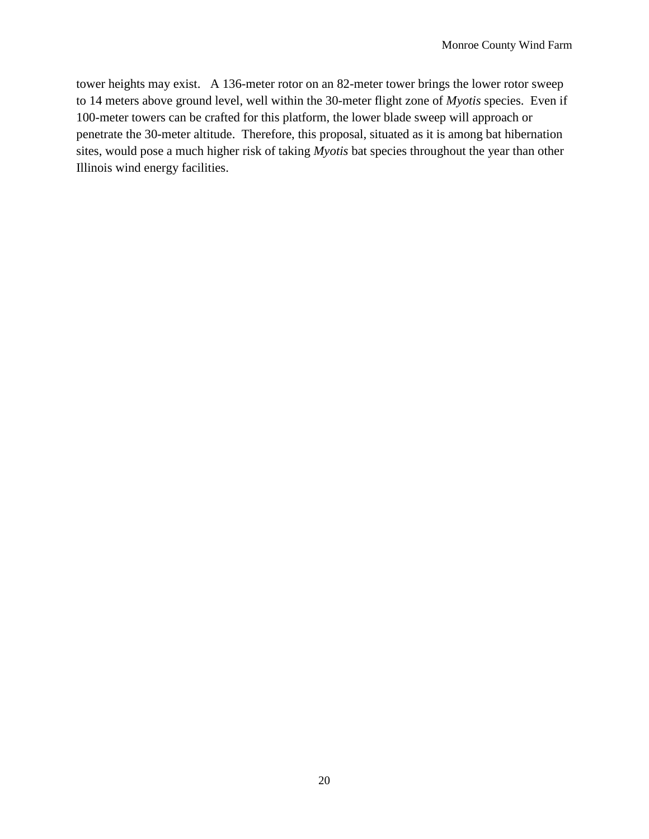tower heights may exist. A 136-meter rotor on an 82-meter tower brings the lower rotor sweep to 14 meters above ground level, well within the 30-meter flight zone of *Myotis* species. Even if 100-meter towers can be crafted for this platform, the lower blade sweep will approach or penetrate the 30-meter altitude. Therefore, this proposal, situated as it is among bat hibernation sites, would pose a much higher risk of taking *Myotis* bat species throughout the year than other Illinois wind energy facilities.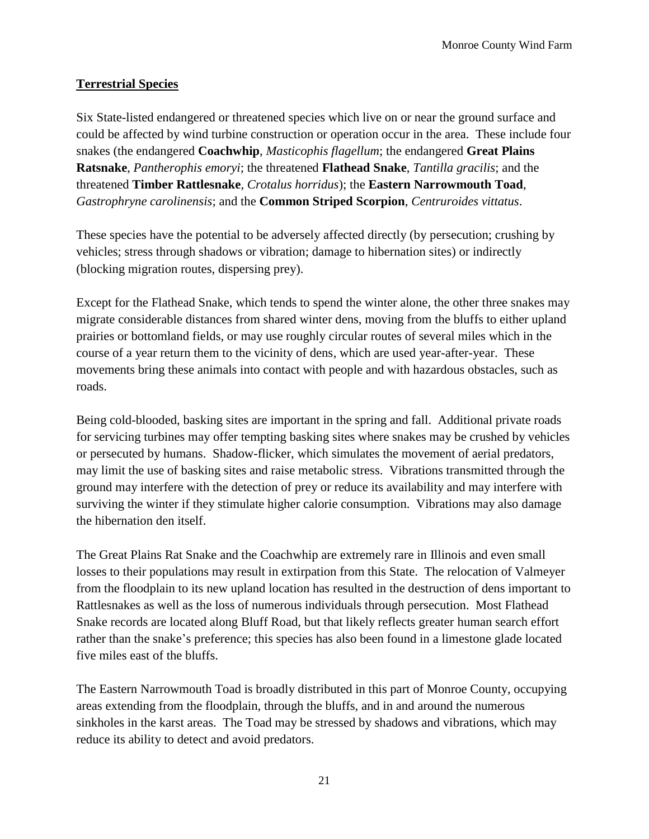## **Terrestrial Species**

Six State-listed endangered or threatened species which live on or near the ground surface and could be affected by wind turbine construction or operation occur in the area. These include four snakes (the endangered **Coachwhip**, *Masticophis flagellum*; the endangered **Great Plains Ratsnake**, *Pantherophis emoryi*; the threatened **Flathead Snake**, *Tantilla gracilis*; and the threatened **Timber Rattlesnake**, *Crotalus horridus*); the **Eastern Narrowmouth Toad**, *Gastrophryne carolinensis*; and the **Common Striped Scorpion**, *Centruroides vittatus*.

These species have the potential to be adversely affected directly (by persecution; crushing by vehicles; stress through shadows or vibration; damage to hibernation sites) or indirectly (blocking migration routes, dispersing prey).

Except for the Flathead Snake, which tends to spend the winter alone, the other three snakes may migrate considerable distances from shared winter dens, moving from the bluffs to either upland prairies or bottomland fields, or may use roughly circular routes of several miles which in the course of a year return them to the vicinity of dens, which are used year-after-year. These movements bring these animals into contact with people and with hazardous obstacles, such as roads.

Being cold-blooded, basking sites are important in the spring and fall. Additional private roads for servicing turbines may offer tempting basking sites where snakes may be crushed by vehicles or persecuted by humans. Shadow-flicker, which simulates the movement of aerial predators, may limit the use of basking sites and raise metabolic stress. Vibrations transmitted through the ground may interfere with the detection of prey or reduce its availability and may interfere with surviving the winter if they stimulate higher calorie consumption. Vibrations may also damage the hibernation den itself.

The Great Plains Rat Snake and the Coachwhip are extremely rare in Illinois and even small losses to their populations may result in extirpation from this State. The relocation of Valmeyer from the floodplain to its new upland location has resulted in the destruction of dens important to Rattlesnakes as well as the loss of numerous individuals through persecution. Most Flathead Snake records are located along Bluff Road, but that likely reflects greater human search effort rather than the snake's preference; this species has also been found in a limestone glade located five miles east of the bluffs.

The Eastern Narrowmouth Toad is broadly distributed in this part of Monroe County, occupying areas extending from the floodplain, through the bluffs, and in and around the numerous sinkholes in the karst areas. The Toad may be stressed by shadows and vibrations, which may reduce its ability to detect and avoid predators.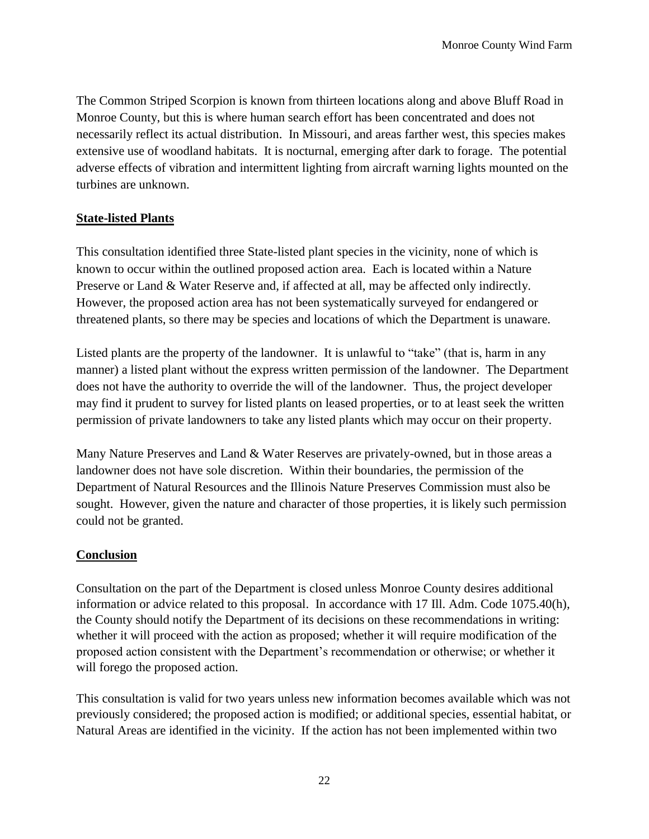The Common Striped Scorpion is known from thirteen locations along and above Bluff Road in Monroe County, but this is where human search effort has been concentrated and does not necessarily reflect its actual distribution. In Missouri, and areas farther west, this species makes extensive use of woodland habitats. It is nocturnal, emerging after dark to forage. The potential adverse effects of vibration and intermittent lighting from aircraft warning lights mounted on the turbines are unknown.

### **State-listed Plants**

This consultation identified three State-listed plant species in the vicinity, none of which is known to occur within the outlined proposed action area. Each is located within a Nature Preserve or Land & Water Reserve and, if affected at all, may be affected only indirectly. However, the proposed action area has not been systematically surveyed for endangered or threatened plants, so there may be species and locations of which the Department is unaware.

Listed plants are the property of the landowner. It is unlawful to "take" (that is, harm in any manner) a listed plant without the express written permission of the landowner. The Department does not have the authority to override the will of the landowner. Thus, the project developer may find it prudent to survey for listed plants on leased properties, or to at least seek the written permission of private landowners to take any listed plants which may occur on their property.

Many Nature Preserves and Land & Water Reserves are privately-owned, but in those areas a landowner does not have sole discretion. Within their boundaries, the permission of the Department of Natural Resources and the Illinois Nature Preserves Commission must also be sought. However, given the nature and character of those properties, it is likely such permission could not be granted.

#### **Conclusion**

Consultation on the part of the Department is closed unless Monroe County desires additional information or advice related to this proposal. In accordance with 17 Ill. Adm. Code 1075.40(h), the County should notify the Department of its decisions on these recommendations in writing: whether it will proceed with the action as proposed; whether it will require modification of the proposed action consistent with the Department's recommendation or otherwise; or whether it will forego the proposed action.

This consultation is valid for two years unless new information becomes available which was not previously considered; the proposed action is modified; or additional species, essential habitat, or Natural Areas are identified in the vicinity. If the action has not been implemented within two